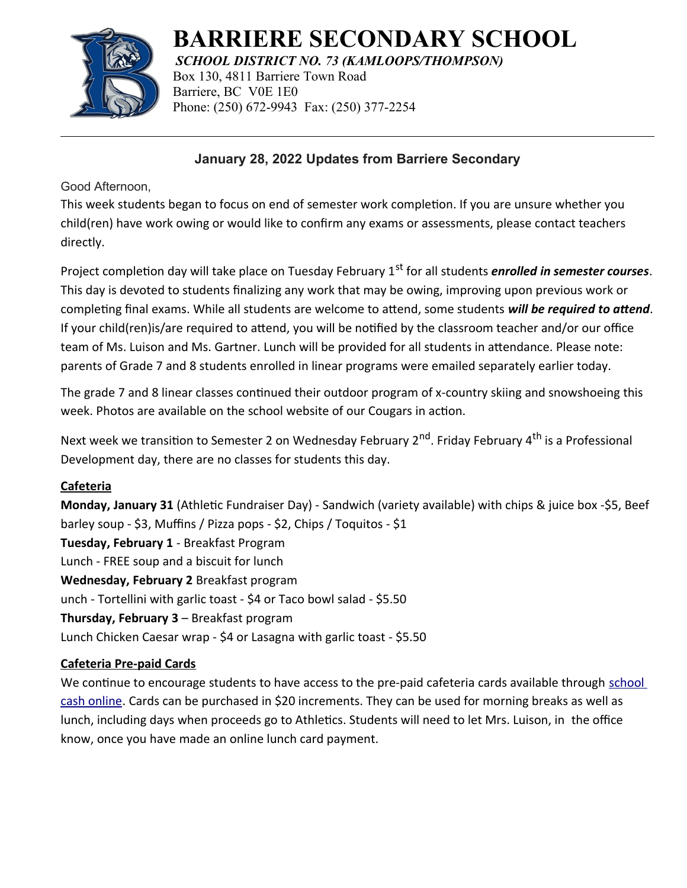

# **BARRIERE SECONDARY SCHOOL**

*SCHOOL DISTRICT NO. 73 (KAMLOOPS/THOMPSON)* Box 130, 4811 Barriere Town Road Barriere, BC V0E 1E0 Phone: (250) 672-9943 Fax: (250) 377-2254

## **January 28, 2022 Updates from Barriere Secondary**

Good Afternoon,

This week students began to focus on end of semester work completion. If you are unsure whether you child(ren) have work owing or would like to confirm any exams or assessments, please contact teachers directly.

Project completion day will take place on Tuesday February 1<sup>st</sup> for all students *enrolled in semester courses*. This day is devoted to students finalizing any work that may be owing, improving upon previous work or completing final exams. While all students are welcome to attend, some students *will be required to attend*. If your child(ren)is/are required to attend, you will be notified by the classroom teacher and/or our office team of Ms. Luison and Ms. Gartner. Lunch will be provided for all students in attendance. Please note: parents of Grade 7 and 8 students enrolled in linear programs were emailed separately earlier today.

The grade 7 and 8 linear classes continued their outdoor program of x-country skiing and snowshoeing this week. Photos are available on the school website of our Cougars in action.

Next week we transition to Semester 2 on Wednesday February 2<sup>nd</sup>. Friday February 4<sup>th</sup> is a Professional Development day, there are no classes for students this day.

### **Cafeteria**

**Monday, January 31** (Athletic Fundraiser Day) - Sandwich (variety available) with chips & juice box -\$5, Beef barley soup - \$3, Muffins / Pizza pops - \$2, Chips / Toquitos - \$1 **Tuesday, February 1** - Breakfast Program Lunch - FREE soup and a biscuit for lunch **Wednesday, February 2** Breakfast program unch - Tortellini with garlic toast - \$4 or Taco bowl salad - \$5.50 **Thursday, February 3** – Breakfast program Lunch Chicken Caesar wrap - \$4 or Lasagna with garlic toast - \$5.50

## **Cafeteria Pre-paid Cards**

We continue to encourage students to have access to the pre-paid cafeteria cards available through school [cash online](https://sd73.schoolcashonline.com/). Cards can be purchased in \$20 increments. They can be used for morning breaks as well as lunch, including days when proceeds go to Athletics. Students will need to let Mrs. Luison, in the office know, once you have made an online lunch card payment.